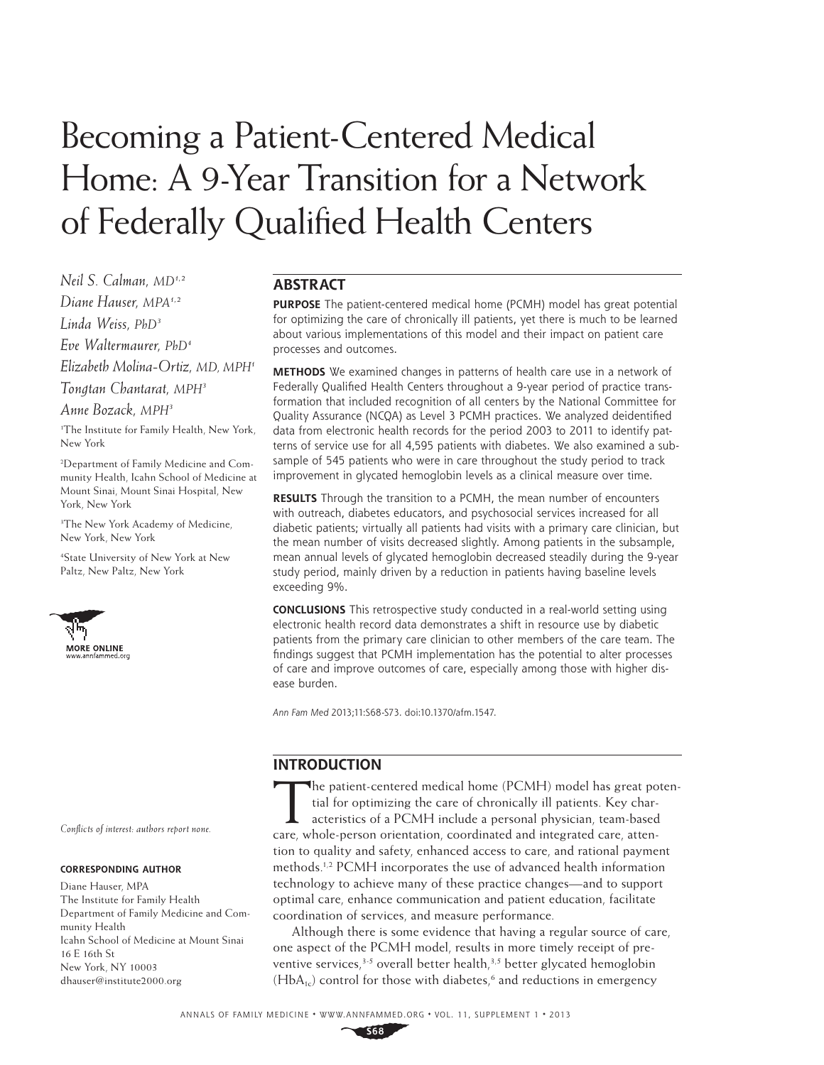# Becoming a Patient-Centered Medical Home: A 9-Year Transition for a Network of Federally Qualified Health Centers

*Neil S. Calman, MD1,2 Diane Hauser, MPA1,2 Linda Weiss, PhD3 Eve Waltermaurer, PhD4 Elizabeth Molina-Ortiz, MD, MPH1 Tongtan Chantarat, MPH3 Anne Bozack, MPH3* 

1 The Institute for Family Health, New York, New York

2 Department of Family Medicine and Community Health, Icahn School of Medicine at Mount Sinai, Mount Sinai Hospital, New York, New York

3 The New York Academy of Medicine, New York, New York

4 State University of New York at New Paltz, New Paltz, New York



*Confl icts of interest: authors report none.* 

#### **CORRESPONDING AUTHOR**

Diane Hauser, MPA The Institute for Family Health Department of Family Medicine and Community Health Icahn School of Medicine at Mount Sinai 16 E 16th St New York, NY 10003 dhauser@institute2000.org

## **ABSTRACT**

**PURPOSE** The patient-centered medical home (PCMH) model has great potential for optimizing the care of chronically ill patients, yet there is much to be learned about various implementations of this model and their impact on patient care processes and outcomes.

**METHODS** We examined changes in patterns of health care use in a network of Federally Qualified Health Centers throughout a 9-year period of practice transformation that included recognition of all centers by the National Committee for Quality Assurance (NCQA) as Level 3 PCMH practices. We analyzed deidentified data from electronic health records for the period 2003 to 2011 to identify patterns of service use for all 4,595 patients with diabetes. We also examined a subsample of 545 patients who were in care throughout the study period to track improvement in glycated hemoglobin levels as a clinical measure over time.

**RESULTS** Through the transition to a PCMH, the mean number of encounters with outreach, diabetes educators, and psychosocial services increased for all diabetic patients; virtually all patients had visits with a primary care clinician, but the mean number of visits decreased slightly. Among patients in the subsample, mean annual levels of glycated hemoglobin decreased steadily during the 9-year study period, mainly driven by a reduction in patients having baseline levels exceeding 9%.

**CONCLUSIONS** This retrospective study conducted in a real-world setting using electronic health record data demonstrates a shift in resource use by diabetic patients from the primary care clinician to other members of the care team. The findings suggest that PCMH implementation has the potential to alter processes of care and improve outcomes of care, especially among those with higher disease burden.

Ann Fam Med 2013;11:S68-S73. doi:10.1370/afm.1547.

## **INTRODUCTION**

The patient-centered medical home (PCMH) model has great potential for optimizing the care of chronically ill patients. Key characteristics of a PCMH include a personal physician, team-based care whole-person orientation c tial for optimizing the care of chronically ill patients. Key characteristics of a PCMH include a personal physician, team-based care, whole-person orientation, coordinated and integrated care, attention to quality and safety, enhanced access to care, and rational payment methods.1,2 PCMH incorporates the use of advanced health information technology to achieve many of these practice changes—and to support optimal care, enhance communication and patient education, facilitate coordination of services, and measure performance.

Although there is some evidence that having a regular source of care, one aspect of the PCMH model, results in more timely receipt of preventive services,<sup>3-5</sup> overall better health,<sup>3,5</sup> better glycated hemoglobin  $(HbA_{1c})$  control for those with diabetes,<sup>6</sup> and reductions in emergency

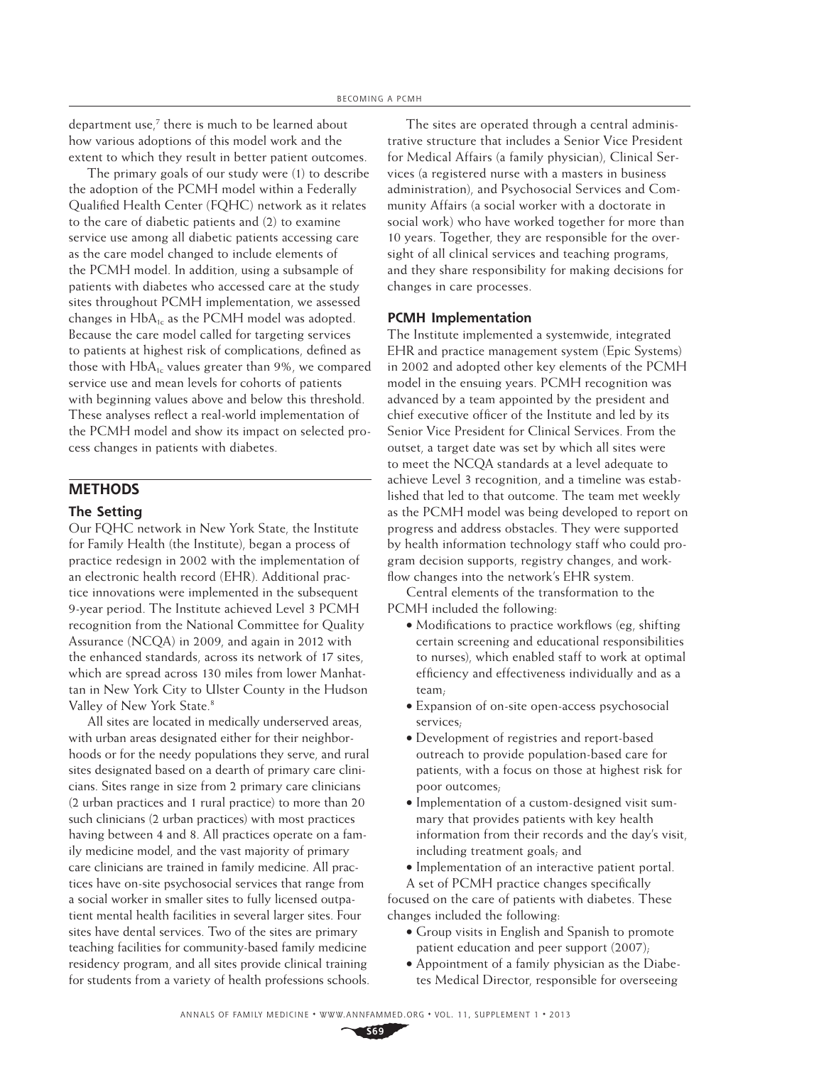department use,7 there is much to be learned about how various adoptions of this model work and the extent to which they result in better patient outcomes.

The primary goals of our study were (1) to describe the adoption of the PCMH model within a Federally Qualified Health Center (FQHC) network as it relates to the care of diabetic patients and (2) to examine service use among all diabetic patients accessing care as the care model changed to include elements of the PCMH model. In addition, using a subsample of patients with diabetes who accessed care at the study sites throughout PCMH implementation, we assessed changes in  $HbA_{1c}$  as the PCMH model was adopted. Because the care model called for targeting services to patients at highest risk of complications, defined as those with  $HbA_{1c}$  values greater than 9%, we compared service use and mean levels for cohorts of patients with beginning values above and below this threshold. These analyses reflect a real-world implementation of the PCMH model and show its impact on selected process changes in patients with diabetes.

#### **METHODS**

#### **The Setting**

Our FQHC network in New York State, the Institute for Family Health (the Institute), began a process of practice redesign in 2002 with the implementation of an electronic health record (EHR). Additional practice innovations were implemented in the subsequent 9-year period. The Institute achieved Level 3 PCMH recognition from the National Committee for Quality Assurance (NCQA) in 2009, and again in 2012 with the enhanced standards, across its network of 17 sites, which are spread across 130 miles from lower Manhattan in New York City to Ulster County in the Hudson Valley of New York State.<sup>8</sup>

All sites are located in medically underserved areas, with urban areas designated either for their neighborhoods or for the needy populations they serve, and rural sites designated based on a dearth of primary care clinicians. Sites range in size from 2 primary care clinicians (2 urban practices and 1 rural practice) to more than 20 such clinicians (2 urban practices) with most practices having between 4 and 8. All practices operate on a family medicine model, and the vast majority of primary care clinicians are trained in family medicine. All practices have on-site psychosocial services that range from a social worker in smaller sites to fully licensed outpatient mental health facilities in several larger sites. Four sites have dental services. Two of the sites are primary teaching facilities for community-based family medicine residency program, and all sites provide clinical training for students from a variety of health professions schools.

The sites are operated through a central administrative structure that includes a Senior Vice President for Medical Affairs (a family physician), Clinical Services (a registered nurse with a masters in business administration), and Psychosocial Services and Community Affairs (a social worker with a doctorate in social work) who have worked together for more than 10 years. Together, they are responsible for the oversight of all clinical services and teaching programs, and they share responsibility for making decisions for changes in care processes.

#### **PCMH Implementation**

The Institute implemented a systemwide, integrated EHR and practice management system (Epic Systems) in 2002 and adopted other key elements of the PCMH model in the ensuing years. PCMH recognition was advanced by a team appointed by the president and chief executive officer of the Institute and led by its Senior Vice President for Clinical Services. From the outset, a target date was set by which all sites were to meet the NCQA standards at a level adequate to achieve Level 3 recognition, and a timeline was established that led to that outcome. The team met weekly as the PCMH model was being developed to report on progress and address obstacles. They were supported by health information technology staff who could program decision supports, registry changes, and workflow changes into the network's EHR system.

Central elements of the transformation to the PCMH included the following:

- Modifications to practice workflows (eg, shifting certain screening and educational responsibilities to nurses), which enabled staff to work at optimal efficiency and effectiveness individually and as a team;
- Expansion of on-site open-access psychosocial services;
- Development of registries and report-based outreach to provide population-based care for patients, with a focus on those at highest risk for poor outcomes;
- Implementation of a custom-designed visit summary that provides patients with key health information from their records and the day's visit, including treatment goals; and
- Implementation of an interactive patient portal.

A set of PCMH practice changes specifically focused on the care of patients with diabetes. These changes included the following:

- Group visits in English and Spanish to promote patient education and peer support (2007);
- Appointment of a family physician as the Diabetes Medical Director, responsible for overseeing

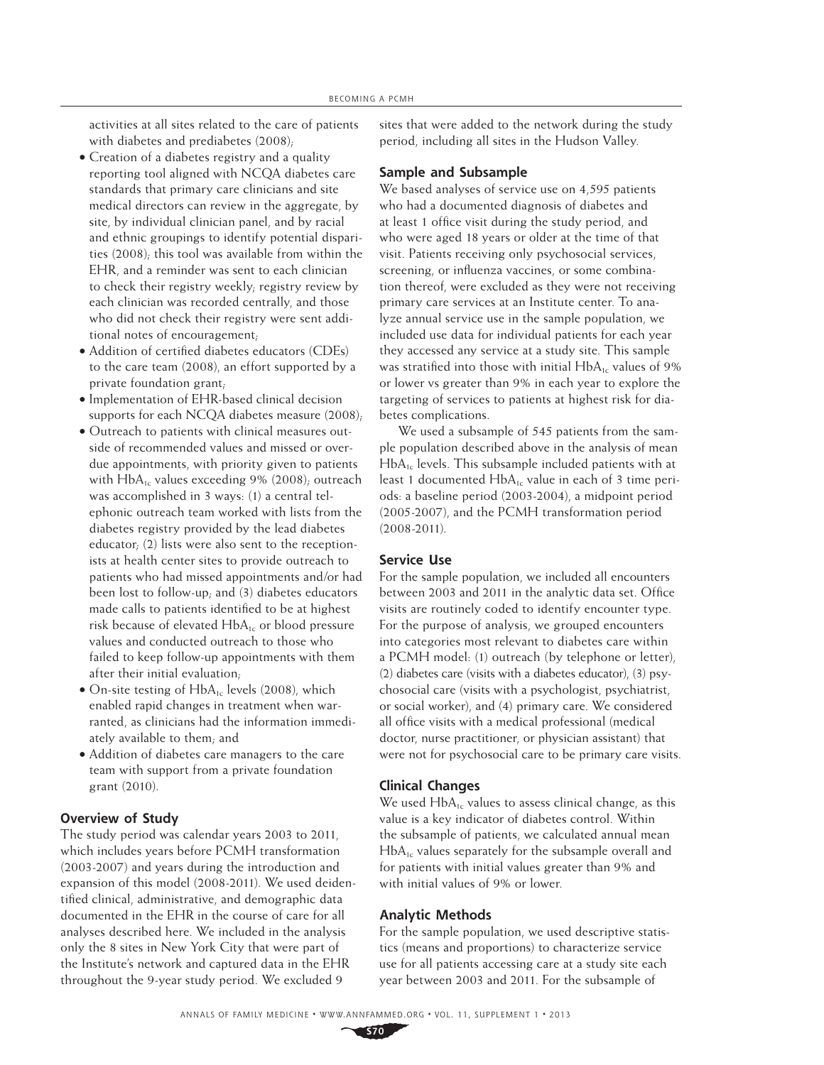activities at all sites related to the care of patients with diabetes and prediabetes (2008);

- Creation of a diabetes registry and a quality reporting tool aligned with NCQA diabetes care standards that primary care clinicians and site medical directors can review in the aggregate, by site, by individual clinician panel, and by racial and ethnic groupings to identify potential disparities (2008); this tool was available from within the EHR, and a reminder was sent to each clinician to check their registry weekly; registry review by each clinician was recorded centrally, and those who did not check their registry were sent additional notes of encouragement;
- Addition of certified diabetes educators (CDEs) to the care team (2008), an effort supported by a private foundation grant;
- Implementation of EHR-based clinical decision supports for each NCQA diabetes measure (2008);
- Outreach to patients with clinical measures outside of recommended values and missed or overdue appointments, with priority given to patients with  $HbA_{1c}$  values exceeding 9% (2008); outreach was accomplished in 3 ways: (1) a central telephonic outreach team worked with lists from the diabetes registry provided by the lead diabetes educator; (2) lists were also sent to the receptionists at health center sites to provide outreach to patients who had missed appointments and/or had been lost to follow-up; and (3) diabetes educators made calls to patients identified to be at highest risk because of elevated HbA<sub>1c</sub> or blood pressure values and conducted outreach to those who failed to keep follow-up appointments with them after their initial evaluation;
- $\bullet$  On-site testing of  $HbA_{1c}$  levels (2008), which enabled rapid changes in treatment when warranted, as clinicians had the information immediately available to them; and
- Addition of diabetes care managers to the care team with support from a private foundation grant (2010).

## **Overview of Study**

The study period was calendar years 2003 to 2011, which includes years before PCMH transformation (2003-2007) and years during the introduction and expansion of this model (2008-2011). We used deidentified clinical, administrative, and demographic data documented in the EHR in the course of care for all analyses described here. We included in the analysis only the 8 sites in New York City that were part of the Institute's network and captured data in the EHR throughout the 9-year study period. We excluded 9

sites that were added to the network during the study period, including all sites in the Hudson Valley.

#### **Sample and Subsample**

We based analyses of service use on 4,595 patients who had a documented diagnosis of diabetes and at least 1 office visit during the study period, and who were aged 18 years or older at the time of that visit. Patients receiving only psychosocial services, screening, or influenza vaccines, or some combination thereof, were excluded as they were not receiving primary care services at an Institute center. To analyze annual service use in the sample population, we included use data for individual patients for each year they accessed any service at a study site. This sample was stratified into those with initial  $HbA_{1c}$  values of 9% or lower vs greater than 9% in each year to explore the targeting of services to patients at highest risk for diabetes complications.

We used a subsample of 545 patients from the sample population described above in the analysis of mean  $HbA<sub>1c</sub>$  levels. This subsample included patients with at least 1 documented HbA<sub>1c</sub> value in each of 3 time periods: a baseline period (2003-2004), a midpoint period (2005-2007), and the PCMH transformation period (2008-2011).

#### **Service Use**

For the sample population, we included all encounters between 2003 and 2011 in the analytic data set. Office visits are routinely coded to identify encounter type. For the purpose of analysis, we grouped encounters into categories most relevant to diabetes care within a PCMH model: (1) outreach (by telephone or letter), (2) diabetes care (visits with a diabetes educator), (3) psychosocial care (visits with a psychologist, psychiatrist, or social worker), and (4) primary care. We considered all office visits with a medical professional (medical doctor, nurse practitioner, or physician assistant) that were not for psychosocial care to be primary care visits.

#### **Clinical Changes**

We used  $HbA_{1c}$  values to assess clinical change, as this value is a key indicator of diabetes control. Within the subsample of patients, we calculated annual mean  $HbA_{1c}$  values separately for the subsample overall and for patients with initial values greater than 9% and with initial values of 9% or lower.

#### **Analytic Methods**

For the sample population, we used descriptive statistics (means and proportions) to characterize service use for all patients accessing care at a study site each year between 2003 and 2011. For the subsample of

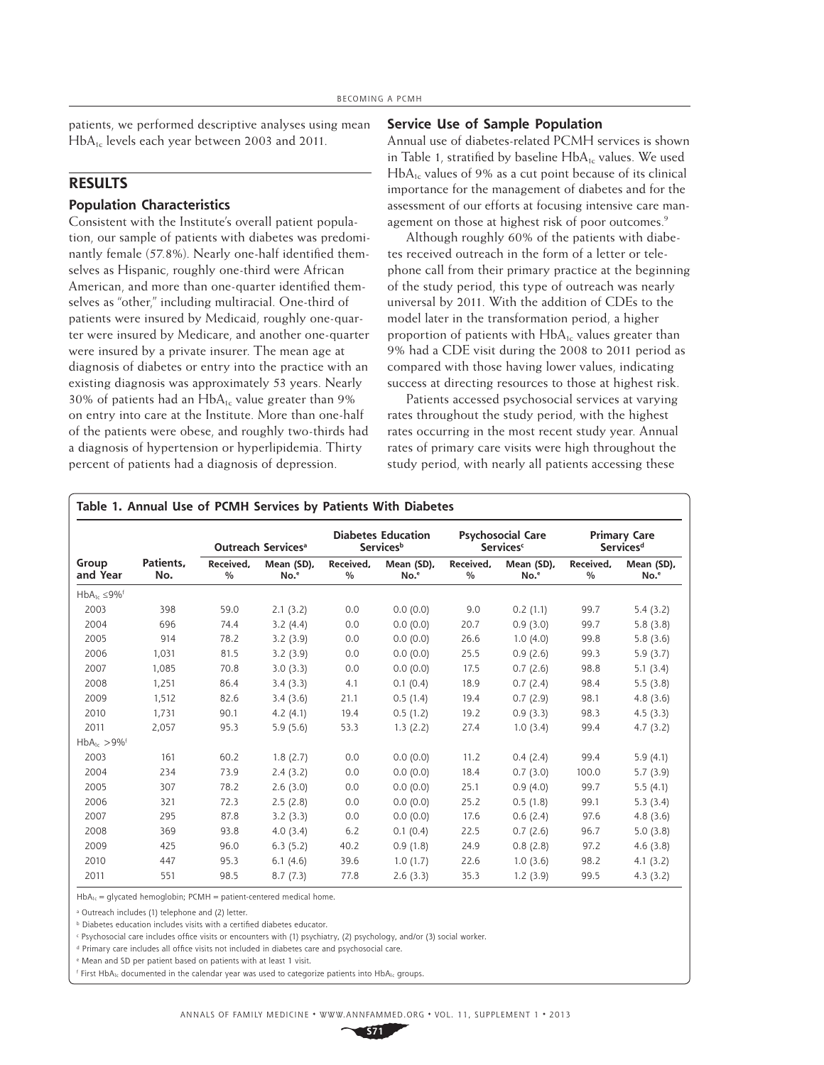patients, we performed descriptive analyses using mean HbA<sub>1c</sub> levels each year between 2003 and 2011.

## **RESULTS**

### **Population Characteristics**

Consistent with the Institute's overall patient population, our sample of patients with diabetes was predominantly female (57.8%). Nearly one-half identified themselves as Hispanic, roughly one-third were African American, and more than one-quarter identified themselves as "other," including multiracial. One-third of patients were insured by Medicaid, roughly one-quarter were insured by Medicare, and another one-quarter were insured by a private insurer. The mean age at diagnosis of diabetes or entry into the practice with an existing diagnosis was approximately 53 years. Nearly 30% of patients had an  $HbA_{1c}$  value greater than 9% on entry into care at the Institute. More than one-half of the patients were obese, and roughly two-thirds had a diagnosis of hypertension or hyperlipidemia. Thirty percent of patients had a diagnosis of depression.

## **Service Use of Sample Population**

Annual use of diabetes-related PCMH services is shown in Table 1, stratified by baseline  $HbA_{1c}$  values. We used  $HbA<sub>1c</sub>$  values of 9% as a cut point because of its clinical importance for the management of diabetes and for the assessment of our efforts at focusing intensive care management on those at highest risk of poor outcomes.<sup>9</sup>

Although roughly 60% of the patients with diabetes received outreach in the form of a letter or telephone call from their primary practice at the beginning of the study period, this type of outreach was nearly universal by 2011. With the addition of CDEs to the model later in the transformation period, a higher proportion of patients with  $HbA_{1c}$  values greater than 9% had a CDE visit during the 2008 to 2011 period as compared with those having lower values, indicating success at directing resources to those at highest risk.

Patients accessed psychosocial services at varying rates throughout the study period, with the highest rates occurring in the most recent study year. Annual rates of primary care visits were high throughout the study period, with nearly all patients accessing these

| Group<br>and Year                | Patients,<br>No. | Outreach Services <sup>a</sup> |                                | <b>Diabetes Education</b><br><b>Services</b> <sup>b</sup> |                                | <b>Psychosocial Care</b><br>Services <sup>c</sup> |                                | <b>Primary Care</b><br><b>Servicesd</b> |                                |
|----------------------------------|------------------|--------------------------------|--------------------------------|-----------------------------------------------------------|--------------------------------|---------------------------------------------------|--------------------------------|-----------------------------------------|--------------------------------|
|                                  |                  | Received,<br>$\frac{0}{0}$     | Mean (SD),<br>No. <sup>e</sup> | Received,<br>$\frac{0}{0}$                                | Mean (SD),<br>No. <sup>e</sup> | Received,<br>$\frac{0}{0}$                        | Mean (SD),<br>No. <sup>e</sup> | Received,<br>$\frac{0}{0}$              | Mean (SD),<br>No. <sup>e</sup> |
| $HbA_{1c} \leq 9\%$ <sup>f</sup> |                  |                                |                                |                                                           |                                |                                                   |                                |                                         |                                |
| 2003                             | 398              | 59.0                           | 2.1(3.2)                       | 0.0                                                       | 0.0(0.0)                       | 9.0                                               | 0.2(1.1)                       | 99.7                                    | 5.4(3.2)                       |
| 2004                             | 696              | 74.4                           | 3.2(4.4)                       | 0.0                                                       | 0.0(0.0)                       | 20.7                                              | 0.9(3.0)                       | 99.7                                    | 5.8(3.8)                       |
| 2005                             | 914              | 78.2                           | 3.2(3.9)                       | 0.0                                                       | 0.0(0.0)                       | 26.6                                              | 1.0(4.0)                       | 99.8                                    | 5.8(3.6)                       |
| 2006                             | 1,031            | 81.5                           | 3.2(3.9)                       | 0.0                                                       | 0.0(0.0)                       | 25.5                                              | 0.9(2.6)                       | 99.3                                    | 5.9(3.7)                       |
| 2007                             | 1,085            | 70.8                           | 3.0(3.3)                       | 0.0                                                       | 0.0(0.0)                       | 17.5                                              | 0.7(2.6)                       | 98.8                                    | 5.1(3.4)                       |
| 2008                             | 1,251            | 86.4                           | 3.4(3.3)                       | 4.1                                                       | 0.1(0.4)                       | 18.9                                              | 0.7(2.4)                       | 98.4                                    | 5.5(3.8)                       |
| 2009                             | 1,512            | 82.6                           | 3.4(3.6)                       | 21.1                                                      | 0.5(1.4)                       | 19.4                                              | 0.7(2.9)                       | 98.1                                    | 4.8(3.6)                       |
| 2010                             | 1,731            | 90.1                           | 4.2(4.1)                       | 19.4                                                      | 0.5(1.2)                       | 19.2                                              | 0.9(3.3)                       | 98.3                                    | 4.5(3.3)                       |
| 2011                             | 2,057            | 95.3                           | 5.9(5.6)                       | 53.3                                                      | 1.3(2.2)                       | 27.4                                              | 1.0(3.4)                       | 99.4                                    | 4.7(3.2)                       |
| $HbA_{1c} > 9\%$ <sup>f</sup>    |                  |                                |                                |                                                           |                                |                                                   |                                |                                         |                                |
| 2003                             | 161              | 60.2                           | 1.8(2.7)                       | 0.0                                                       | 0.0(0.0)                       | 11.2                                              | 0.4(2.4)                       | 99.4                                    | 5.9(4.1)                       |
| 2004                             | 234              | 73.9                           | 2.4(3.2)                       | 0.0                                                       | 0.0(0.0)                       | 18.4                                              | 0.7(3.0)                       | 100.0                                   | 5.7(3.9)                       |
| 2005                             | 307              | 78.2                           | 2.6(3.0)                       | 0.0                                                       | 0.0(0.0)                       | 25.1                                              | 0.9(4.0)                       | 99.7                                    | 5.5(4.1)                       |
| 2006                             | 321              | 72.3                           | 2.5(2.8)                       | 0.0                                                       | 0.0(0.0)                       | 25.2                                              | 0.5(1.8)                       | 99.1                                    | 5.3(3.4)                       |
| 2007                             | 295              | 87.8                           | 3.2(3.3)                       | 0.0                                                       | 0.0(0.0)                       | 17.6                                              | 0.6(2.4)                       | 97.6                                    | 4.8(3.6)                       |
| 2008                             | 369              | 93.8                           | 4.0(3.4)                       | 6.2                                                       | 0.1(0.4)                       | 22.5                                              | 0.7(2.6)                       | 96.7                                    | 5.0(3.8)                       |
| 2009                             | 425              | 96.0                           | 6.3(5.2)                       | 40.2                                                      | 0.9(1.8)                       | 24.9                                              | 0.8(2.8)                       | 97.2                                    | 4.6(3.8)                       |
| 2010                             | 447              | 95.3                           | 6.1(4.6)                       | 39.6                                                      | 1.0(1.7)                       | 22.6                                              | 1.0(3.6)                       | 98.2                                    | 4.1(3.2)                       |
| 2011                             | 551              | 98.5                           | 8.7(7.3)                       | 77.8                                                      | 2.6(3.3)                       | 35.3                                              | 1.2(3.9)                       | 99.5                                    | 4.3(3.2)                       |

 $HbA_{1c}$  = glycated hemoglobin; PCMH = patient-centered medical home.

a Outreach includes (1) telephone and (2) letter.

**b** Diabetes education includes visits with a certified diabetes educator.

Desychosocial care includes office visits or encounters with (1) psychiatry, (2) psychology, and/or (3) social worker.

<sup>d</sup> Primary care includes all office visits not included in diabetes care and psychosocial care.

e Mean and SD per patient based on patients with at least 1 visit.

 $^{\mathsf{f}}$  First HbA<sub>1c</sub> documented in the calendar year was used to categorize patients into HbA<sub>1c</sub> groups.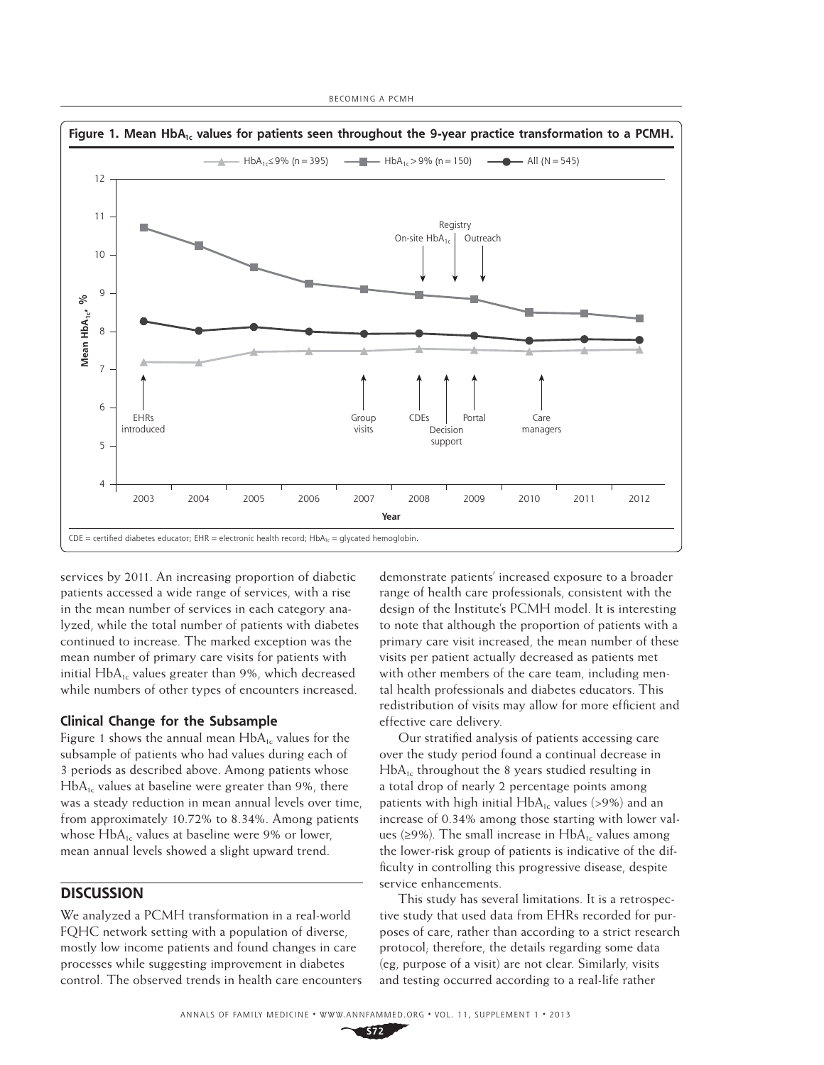

services by 2011. An increasing proportion of diabetic patients accessed a wide range of services, with a rise in the mean number of services in each category analyzed, while the total number of patients with diabetes continued to increase. The marked exception was the mean number of primary care visits for patients with initial  $HbA_{1c}$  values greater than 9%, which decreased while numbers of other types of encounters increased.

#### **Clinical Change for the Subsample**

Figure 1 shows the annual mean  $HbA_{1c}$  values for the subsample of patients who had values during each of 3 periods as described above. Among patients whose  $HbA_{1c}$  values at baseline were greater than 9%, there was a steady reduction in mean annual levels over time, from approximately 10.72% to 8.34%. Among patients whose  $HbA_{1c}$  values at baseline were 9% or lower, mean annual levels showed a slight upward trend.

# **DISCUSSION**

We analyzed a PCMH transformation in a real-world FQHC network setting with a population of diverse, mostly low income patients and found changes in care processes while suggesting improvement in diabetes control. The observed trends in health care encounters demonstrate patients' increased exposure to a broader range of health care professionals, consistent with the design of the Institute's PCMH model. It is interesting to note that although the proportion of patients with a primary care visit increased, the mean number of these visits per patient actually decreased as patients met with other members of the care team, including mental health professionals and diabetes educators. This redistribution of visits may allow for more efficient and effective care delivery.

Our stratified analysis of patients accessing care over the study period found a continual decrease in  $HbA_{1c}$  throughout the 8 years studied resulting in a total drop of nearly 2 percentage points among patients with high initial  $HbA_{1c}$  values (>9%) and an increase of 0.34% among those starting with lower values (≥9%). The small increase in  $HbA_{1c}$  values among the lower-risk group of patients is indicative of the difficulty in controlling this progressive disease, despite service enhancements.

This study has several limitations. It is a retrospective study that used data from EHRs recorded for purposes of care, rather than according to a strict research protocol; therefore, the details regarding some data (eg, purpose of a visit) are not clear. Similarly, visits and testing occurred according to a real-life rather